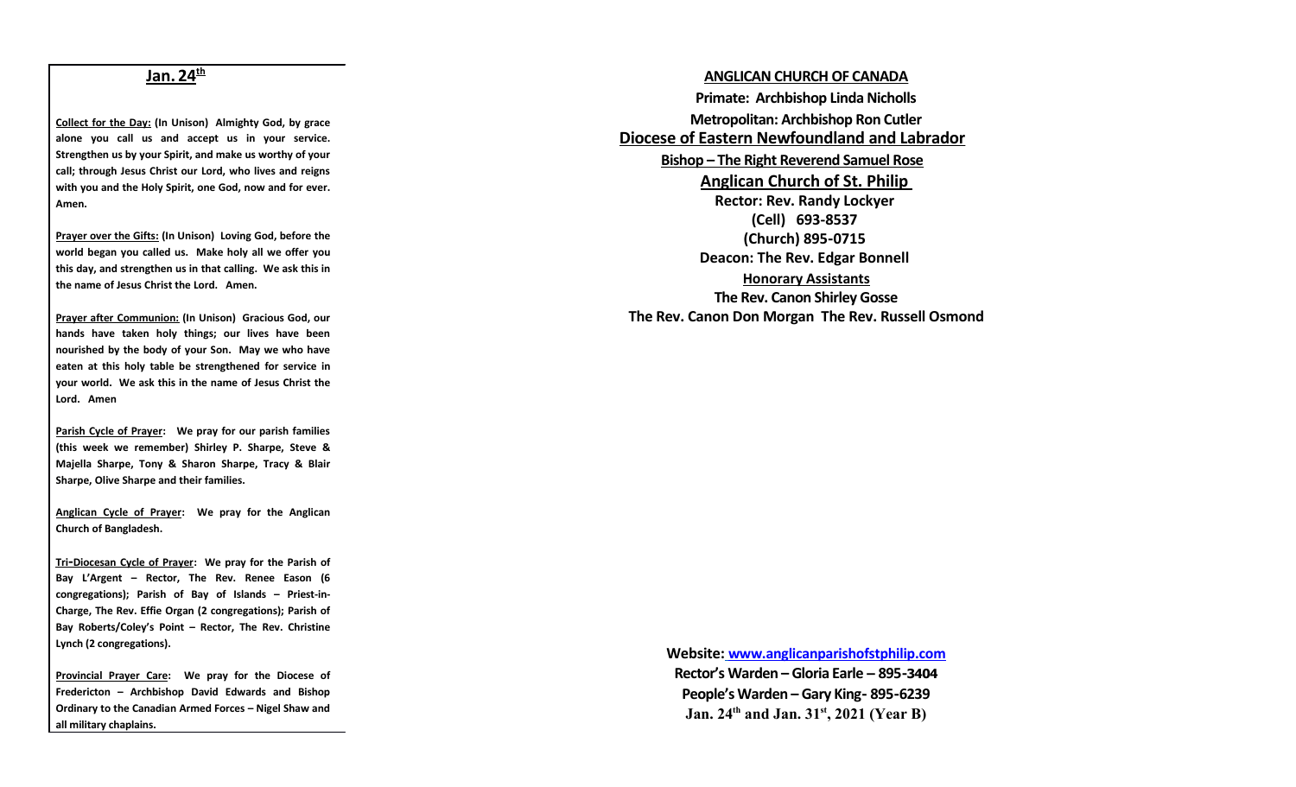## **Jan. 24th**

**Collect for the Day: (In Unison) Almighty God, by grace alone you call us and accept us in your service. Strengthen us by your Spirit, and make us worthy of your call; through Jesus Christ our Lord, who lives and reigns with you and the Holy Spirit, one God, now and for ever. Amen.**

**Prayer over the Gifts: (In Unison) Loving God, before the world began you called us. Make holy all we offer you this day, and strengthen us in that calling. We ask this in the name of Jesus Christ the Lord. Amen.**

**Prayer after Communion: (In Unison) Gracious God, our hands have taken holy things; our lives have been nourished by the body of your Son. May we who have eaten at this holy table be strengthened for service in your world. We ask this in the name of Jesus Christ the Lord. Amen**

**Parish Cycle of Prayer: We pray for our parish families (this week we remember) Shirley P. Sharpe, Steve & Majella Sharpe, Tony & Sharon Sharpe, Tracy & Blair Sharpe, Olive Sharpe and their families.**

**Anglican Cycle of Prayer: We pray for the Anglican Church of Bangladesh.**

 **Tri -Diocesan Cycle of Prayer: We pray for the Parish of Bay L'Argent – Rector, The Rev. Renee Eason (6 congregations); Parish of Bay of Islands – Priest-in-Charge, The Rev. Effie Organ (2 congregations); Parish of Bay Roberts/Coley's Point – Rector, The Rev. Christine Lynch (2 congregations).**

**Provincial Prayer Care: We pray for the Diocese of Fredericton – Archbishop David Edwards and Bishop Ordinary to the Canadian Armed Forces – Nigel Shaw and all military chaplains.**

**ANGLICAN CHURCH OF CANADA Primate: Archbishop Linda Nicholls Metropolitan: Archbishop Ron Cutler Diocese of Eastern Newfoundland and Labrador Bishop – The Right Reverend Samuel Rose Anglican Church of St. Philip Rector: Rev. Randy Lockyer (Cell) 693-8537 (Church) 895-0715 Deacon: The Rev. Edgar Bonnell Honorary Assistants The Rev. Canon Shirley Gosse The Rev. Canon Don Morgan The Rev. Russell Osmond**

> **Website: [www.anglicanparishofstphilip.com](http://www.anglicanparishofstphilip.com/)  Rector's Warden – Gloria Earle – 895-3404 People's Warden – Gary King- 895-6239 Jan. 24th and Jan. 31st, 2021 (Year B)**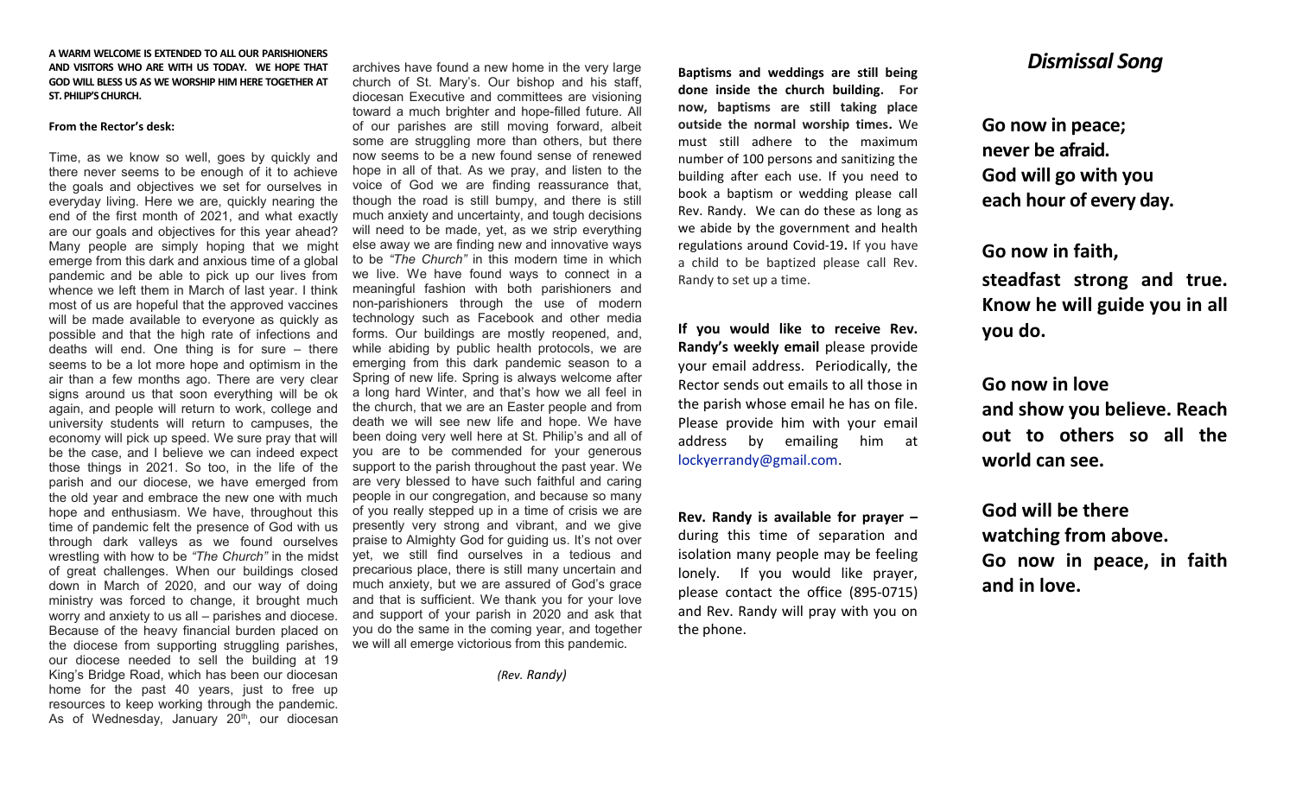### **A WARM WELCOME IS EXTENDED TO ALL OUR PARISHIONERS AND VISITORS WHO ARE WITH US TODAY. WE HOPE THAT GOD WILL BLESS US AS WE WORSHIP HIM HERE TOGETHER AT ST. PHILIP'S CHURCH.**

#### **From the Rector's desk:**

Time, as we know so well, goes by quickly and there never seems to be enough of it to achieve the goals and objectives we set for ourselves in everyday living. Here we are, quickly nearing the end of the first month of 2021, and what exactly are our goals and objectives for this year ahead? Many people are simply hoping that we might emerge from this dark and anxious time of a global pandemic and be able to pick up our lives from whence we left them in March of last year. I think most of us are hopeful that the approved vaccines will be made available to everyone as quickly as possible and that the high rate of infections and deaths will end. One thing is for sure – there seems to be a lot more hope and optimism in the air than a few months ago. There are very clear signs around us that soon everything will be ok again, and people will return to work, college and university students will return to campuses, the economy will pick up speed. We sure pray that will be the case, and I believe we can indeed expect those things in 2021. So too, in the life of the parish and our diocese, we have emerged from the old year and embrace the new one with much hope and enthusiasm. We have, throughout this time of pandemic felt the presence of God with us through dark valleys as we found ourselves wrestling with how to be *"The Church"* in the midst of great challenges. When our buildings closed down in March of 2020, and our way of doing ministry was forced to change, it brought much worry and anxiety to us all – parishes and diocese. Because of the heavy financial burden placed on the diocese from supporting struggling parishes, our diocese needed to sell the building at 19 King's Bridge Road, which has been our diocesan home for the past 40 years, just to free up resources to keep working through the pandemic. As of Wednesday, January  $20<sup>th</sup>$ , our diocesan

archives have found a new home in the very large church of St. Mary's. Our bishop and his staff, diocesan Executive and committees are visioning toward a much brighter and hope-filled future. All of our parishes are still moving forward, albeit some are struggling more than others, but there now seems to be a new found sense of renewed hope in all of that. As we pray, and listen to the voice of God we are finding reassurance that, though the road is still bumpy, and there is still much anxiety and uncertainty, and tough decisions will need to be made, yet, as we strip everything else away we are finding new and innovative ways to be *"The Church"* in this modern time in which we live. We have found ways to connect in a meaningful fashion with both parishioners and non-parishioners through the use of modern technology such as Facebook and other media forms. Our buildings are mostly reopened, and, while abiding by public health protocols, we are emerging from this dark pandemic season to a Spring of new life. Spring is always welcome after a long hard Winter, and that's how we all feel in the church, that we are an Easter people and from death we will see new life and hope. We have been doing very well here at St. Philip's and all of you are to be commended for your generous support to the parish throughout the past year. We are very blessed to have such faithful and caring people in our congregation, and because so many of you really stepped up in a time of crisis we are presently very strong and vibrant, and we give praise to Almighty God for guiding us. It's not over yet, we still find ourselves in a tedious and precarious place, there is still many uncertain and much anxiety, but we are assured of God's grace and that is sufficient. We thank you for your love and support of your parish in 2020 and ask that you do the same in the coming year, and together we will all emerge victorious from this pandemic.

 *(Rev. Randy)*

**Baptisms and weddings are still being done inside the church building. For now, baptisms are still taking place outside the normal worship times.** We must still adhere to the maximum number of 100 persons and sanitizing the building after each use. If you need to book a baptism or wedding please call Rev. Randy. We can do these as long as we abide by the government and health regulations around Covid-19**.** If you have a child to be baptized please call Rev. Randy to set up a time.

**If you would like to receive Rev. Randy's weekly email** please provide your email address. Periodically, the Rector sends out emails to all those in the parish whose email he has on file. Please provide him with your email address by emailing him at [lockyerrandy@gmail.com.](mailto:lockyerrandy@gmail.com)

**Rev. Randy is available for prayer –** during this time of separation and isolation many people may be feeling lonely. If you would like prayer, please contact the office (895-0715) and Rev. Randy will pray with you on the phone.

## *Dismissal Song*

**Go now in peace; never be afraid. God will go with you each hour of every day.**

**Go now in faith, steadfast strong and true. Know he will guide you in all you do.**

**Go now in love and show you believe. Reach out to others so all the world can see.**

**God will be there watching from above. Go now in peace, in faith and in love.**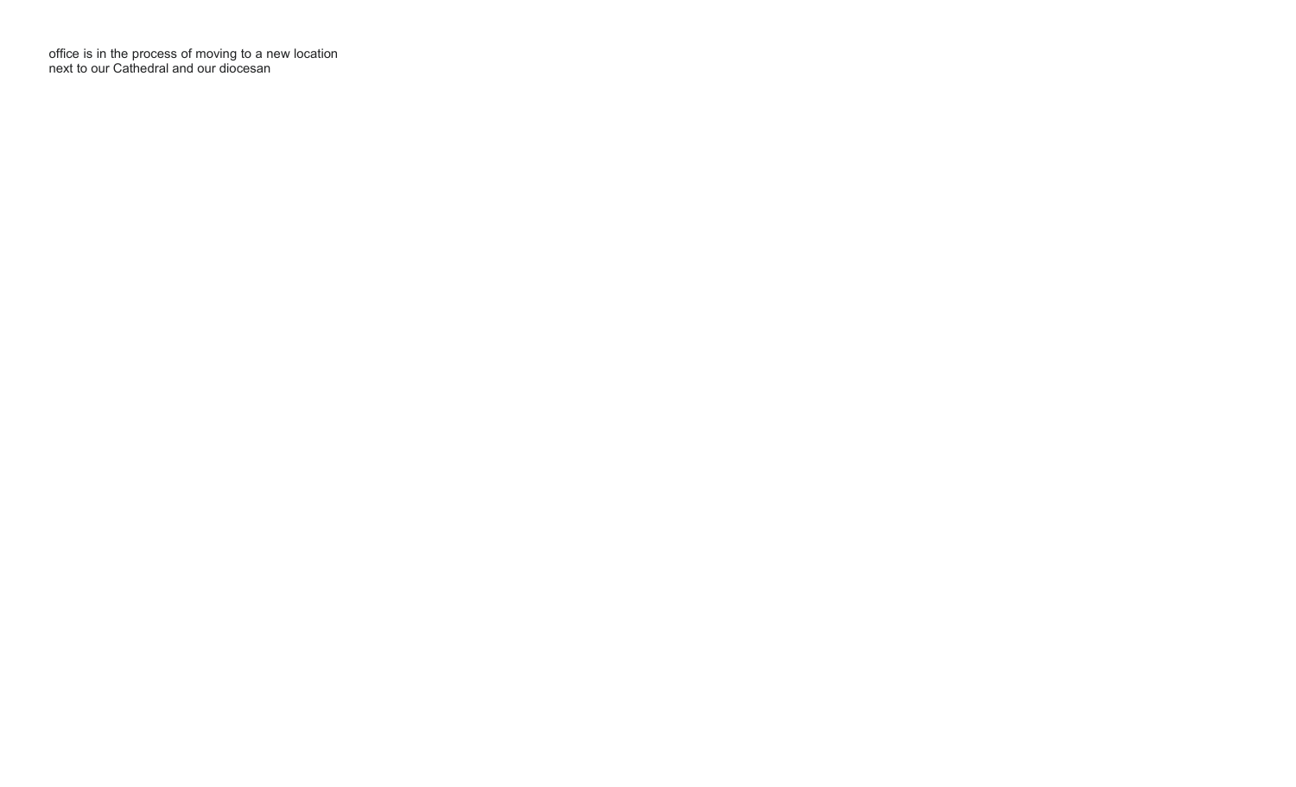office is in the process of moving to a new location next to our Cathedral and our diocesan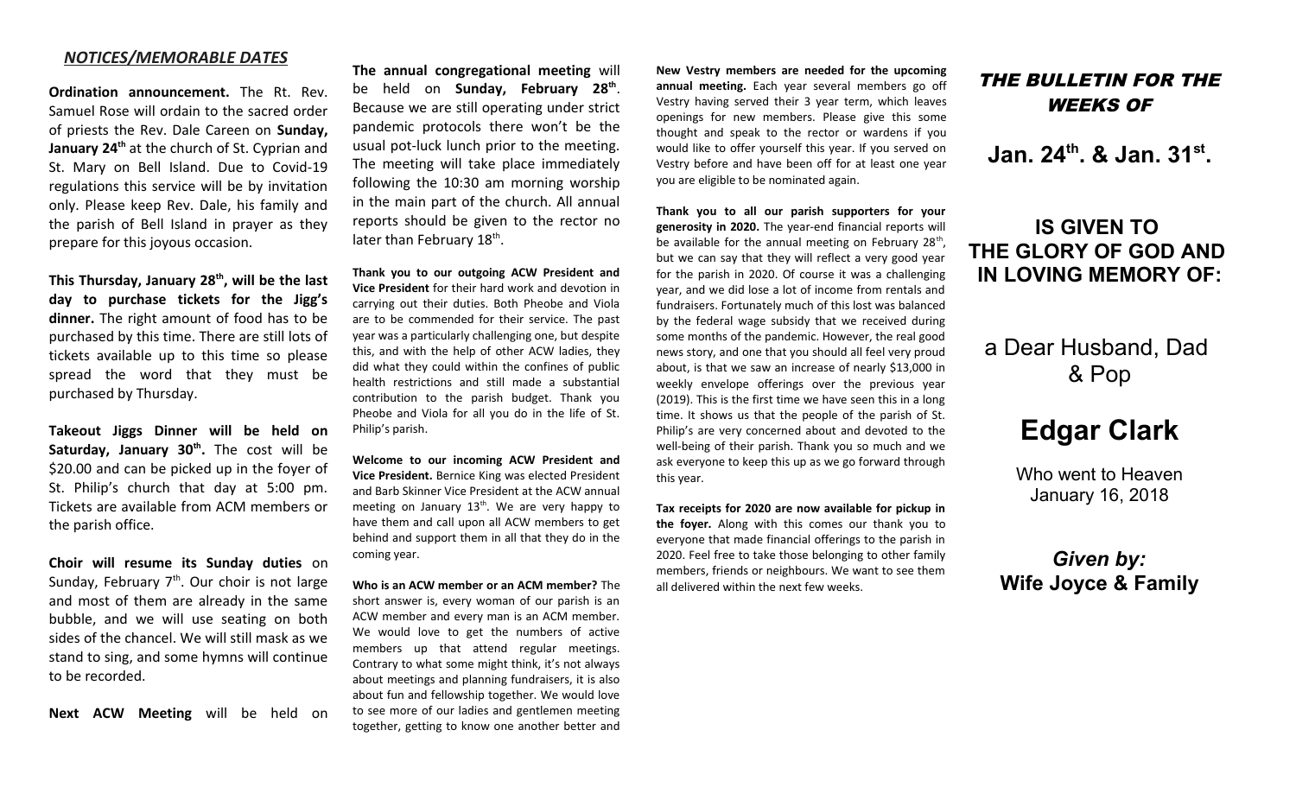### *NOTICES/MEMORABLE DATES*

**Ordination announcement.** The Rt. Rev. Samuel Rose will ordain to the sacred order of priests the Rev. Dale Careen on **Sunday, January 24th** at the church of St. Cyprian and St. Mary on Bell Island. Due to Covid-19 regulations this service will be by invitation only. Please keep Rev. Dale, his family and the parish of Bell Island in prayer as they prepare for this joyous occasion.

**This Thursday, January 28th, will be the last day to purchase tickets for the Jigg's dinner.** The right amount of food has to be purchased by this time. There are still lots of tickets available up to this time so please spread the word that they must be purchased by Thursday.

**Takeout Jiggs Dinner will be held on Saturday, January 30th .** The cost will be \$20.00 and can be picked up in the foyer of St. Philip's church that day at 5:00 pm. Tickets are available from ACM members or the parish office.

**Choir will resume its Sunday duties** on Sunday, February  $7<sup>th</sup>$ . Our choir is not large and most of them are already in the same bubble, and we will use seating on both sides of the chancel. We will still mask as we stand to sing, and some hymns will continue to be recorded.

**Next ACW Meeting** will be held on

**The annual congregational meeting** will be held on **Sunday, February 28th** . Because we are still operating under strict pandemic protocols there won't be the usual pot-luck lunch prior to the meeting. The meeting will take place immediately following the 10:30 am morning worship in the main part of the church. All annual reports should be given to the rector no later than February 18<sup>th</sup>.

**Thank you to our outgoing ACW President and Vice President** for their hard work and devotion in carrying out their duties. Both Pheobe and Viola are to be commended for their service. The past year was a particularly challenging one, but despite this, and with the help of other ACW ladies, they did what they could within the confines of public health restrictions and still made a substantial contribution to the parish budget. Thank you Pheobe and Viola for all you do in the life of St. Philip's parish.

**Welcome to our incoming ACW President and Vice President.** Bernice King was elected President and Barb Skinner Vice President at the ACW annual meeting on January  $13<sup>th</sup>$ . We are very happy to have them and call upon all ACW members to get behind and support them in all that they do in the coming year.

**Who is an ACW member or an ACM member?** The short answer is, every woman of our parish is an ACW member and every man is an ACM member. We would love to get the numbers of active members up that attend regular meetings. Contrary to what some might think, it's not always about meetings and planning fundraisers, it is also about fun and fellowship together. We would love to see more of our ladies and gentlemen meeting together, getting to know one another better and

**New Vestry members are needed for the upcoming annual meeting.** Each year several members go off Vestry having served their 3 year term, which leaves openings for new members. Please give this some thought and speak to the rector or wardens if you would like to offer yourself this year. If you served on Vestry before and have been off for at least one year you are eligible to be nominated again.

**Thank you to all our parish supporters for your generosity in 2020.** The year-end financial reports will be available for the annual meeting on February 28<sup>th</sup>, but we can say that they will reflect a very good year for the parish in 2020. Of course it was a challenging year, and we did lose a lot of income from rentals and fundraisers. Fortunately much of this lost was balanced by the federal wage subsidy that we received during some months of the pandemic. However, the real good news story, and one that you should all feel very proud about, is that we saw an increase of nearly \$13,000 in weekly envelope offerings over the previous year (2019). This is the first time we have seen this in a long time. It shows us that the people of the parish of St. Philip's are very concerned about and devoted to the well-being of their parish. Thank you so much and we ask everyone to keep this up as we go forward through this year.

**Tax receipts for 2020 are now available for pickup in the foyer.** Along with this comes our thank you to everyone that made financial offerings to the parish in 2020. Feel free to take those belonging to other family members, friends or neighbours. We want to see them all delivered within the next few weeks.

## THE BULLETIN FOR THE WEEKS OF

**Jan. 24th. & Jan. 31st .**

# **IS GIVEN TO THE GLORY OF GOD AND IN LOVING MEMORY OF:**

a Dear Husband, Dad & Pop

# **Edgar Clark**

Who went to Heaven January 16, 2018

## *Given by:* **Wife Joyce & Family**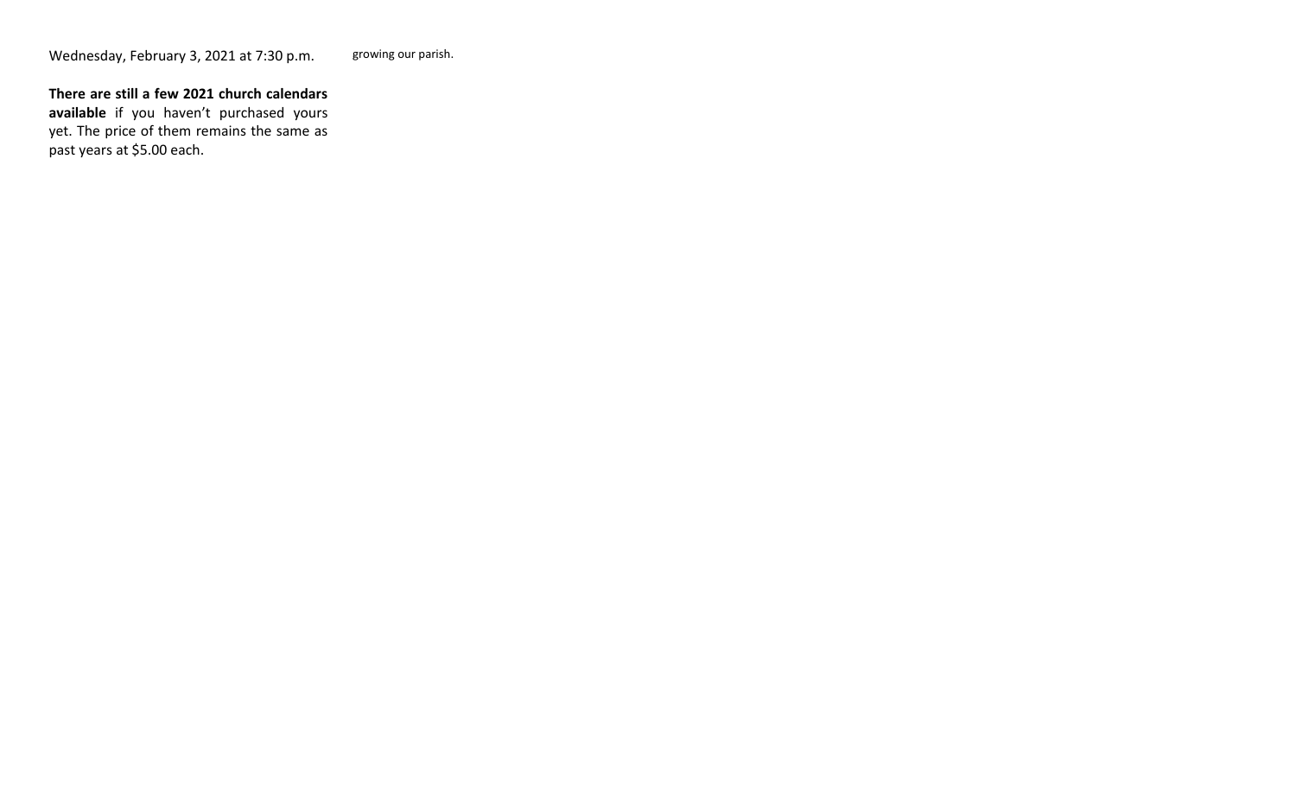### **There are still a few 2021 church calendars**

**available** if you haven't purchased yours yet. The price of them remains the same as past years at \$5.00 each.